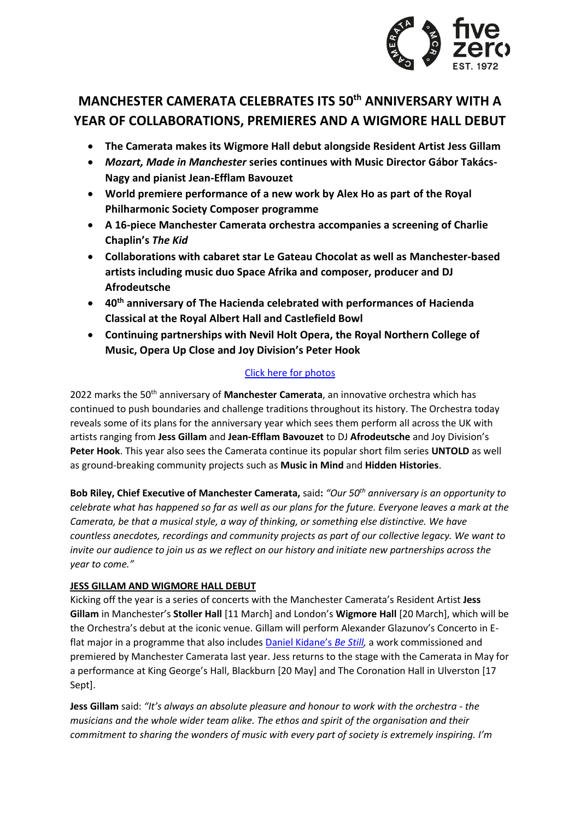

# **MANCHESTER CAMERATA CELEBRATES ITS 50th ANNIVERSARY WITH A YEAR OF COLLABORATIONS, PREMIERES AND A WIGMORE HALL DEBUT**

- **The Camerata makes its Wigmore Hall debut alongside Resident Artist Jess Gillam**
- *Mozart, Made in Manchester* **series continues with Music Director Gábor Takács-Nagy and pianist Jean-Efflam Bavouzet**
- **World premiere performance of a new work by Alex Ho as part of the Royal Philharmonic Society Composer programme**
- **A 16-piece Manchester Camerata orchestra accompanies a screening of Charlie Chaplin's** *The Kid*
- **Collaborations with cabaret star Le Gateau Chocolat as well as Manchester-based artists including music duo Space Afrika and composer, producer and DJ Afrodeutsche**
- **40th anniversary of The Hacienda celebrated with performances of Hacienda Classical at the Royal Albert Hall and Castlefield Bowl**
- **Continuing partnerships with Nevil Holt Opera, the Royal Northern College of Music, Opera Up Close and Joy Division's Peter Hook**

# [Click here for photos](https://www.dropbox.com/sh/gu0zojp2uq1ighk/AAB49vSUDqhk9yYBI0oOb90Xa?dl=0)

2022 marks the 50th anniversary of **Manchester Camerata**, an innovative orchestra which has continued to push boundaries and challenge traditions throughout its history. The Orchestra today reveals some of its plans for the anniversary year which sees them perform all across the UK with artists ranging from **Jess Gillam** and **Jean-Efflam Bavouzet** to DJ **Afrodeutsche** and Joy Division's **Peter Hook**. This year also sees the Camerata continue its popular short film series **UNTOLD** as well as ground-breaking community projects such as **Music in Mind** and **Hidden Histories**.

**Bob Riley, Chief Executive of Manchester Camerata,** said**:** *"Our 50th anniversary is an opportunity to celebrate what has happened so far as well as our plans for the future. Everyone leaves a mark at the Camerata, be that a musical style, a way of thinking, or something else distinctive. We have countless anecdotes, recordings and community projects as part of our collective legacy. We want to invite our audience to join us as we reflect on our history and initiate new partnerships across the year to come."*

# **JESS GILLAM AND WIGMORE HALL DEBUT**

Kicking off the year is a series of concerts with the Manchester Camerata's Resident Artist **Jess Gillam** in Manchester's **Stoller Hall** [11 March] and London's **Wigmore Hall** [20 March], which will be the Orchestra's debut at the iconic venue. Gillam will perform Alexander Glazunov's Concerto in Eflat major in a programme that also includes [Daniel Kidane's](https://www.youtube.com/watch?v=KJl_tD8NGAw) *Be Still,* a work commissioned and premiered by Manchester Camerata last year. Jess returns to the stage with the Camerata in May for a performance at King George's Hall, Blackburn [20 May] and The Coronation Hall in Ulverston [17 Sept].

**Jess Gillam** said: *"It's always an absolute pleasure and honour to work with the orchestra - the musicians and the whole wider team alike. The ethos and spirit of the organisation and their commitment to sharing the wonders of music with every part of society is extremely inspiring. I'm*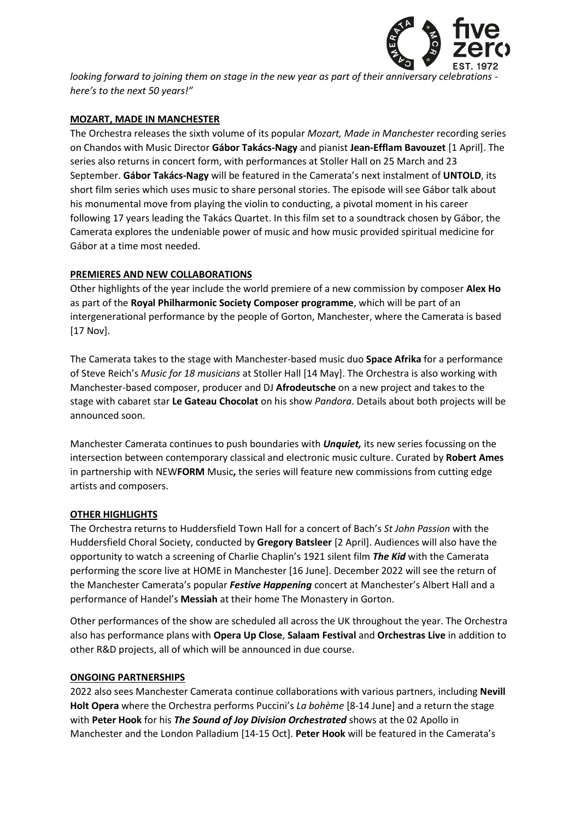

*looking forward to joining them on stage in the new year as part of their anniversary celebrations here's to the next 50 years!"*

### **MOZART, MADE IN MANCHESTER**

The Orchestra releases the sixth volume of its popular *Mozart, Made in Manchester* recording series on Chandos with Music Director **Gábor Takács-Nagy** and pianist **Jean-Efflam Bavouzet** [1 April]. The series also returns in concert form, with performances at Stoller Hall on 25 March and 23 September. **Gábor Takács-Nagy** will be featured in the Camerata's next instalment of **UNTOLD**, its short film series which uses music to share personal stories. The episode will see Gábor talk about his monumental move from playing the violin to conducting, a pivotal moment in his career following 17 years leading the Takács Quartet. In this film set to a soundtrack chosen by Gábor, the Camerata explores the undeniable power of music and how music provided spiritual medicine for Gábor at a time most needed.

## **PREMIERES AND NEW COLLABORATIONS**

Other highlights of the year include the world premiere of a new commission by composer **Alex Ho**  as part of the **Royal Philharmonic Society Composer programme**, which will be part of an intergenerational performance by the people of Gorton, Manchester, where the Camerata is based [17 Nov].

The Camerata takes to the stage with Manchester-based music duo **Space Afrika** for a performance of Steve Reich's *Music for 18 musicians* at Stoller Hall [14 May]. The Orchestra is also working with Manchester-based composer, producer and DJ **Afrodeutsche** on a new project and takes to the stage with cabaret star **Le Gateau Chocolat** on his show *Pandora*. Details about both projects will be announced soon.

Manchester Camerata continues to push boundaries with *Unquiet,* its new series focussing on the intersection between contemporary classical and electronic music culture. Curated by **Robert Ames** in partnership with NEW**FORM** Music**,** the series will feature new commissions from cutting edge artists and composers.

#### **OTHER HIGHLIGHTS**

The Orchestra returns to Huddersfield Town Hall for a concert of Bach's *St John Passion* with the Huddersfield Choral Society, conducted by **Gregory Batsleer** [2 April]. Audiences will also have the opportunity to watch a screening of Charlie Chaplin's 1921 silent film *The Kid* with the Camerata performing the score live at HOME in Manchester [16 June]. December 2022 will see the return of the Manchester Camerata's popular *Festive Happening* concert at Manchester's Albert Hall and a performance of Handel's **Messiah** at their home The Monastery in Gorton.

Other performances of the show are scheduled all across the UK throughout the year. The Orchestra also has performance plans with **Opera Up Close**, **Salaam Festival** and **Orchestras Live** in addition to other R&D projects, all of which will be announced in due course.

#### **ONGOING PARTNERSHIPS**

2022 also sees Manchester Camerata continue collaborations with various partners, including **Nevill Holt Opera** where the Orchestra performs Puccini's *La bohème* [8-14 June] and a return the stage with **Peter Hook** for his *The Sound of Joy Division Orchestrated* shows at the 02 Apollo in Manchester and the London Palladium [14-15 Oct]. **Peter Hook** will be featured in the Camerata's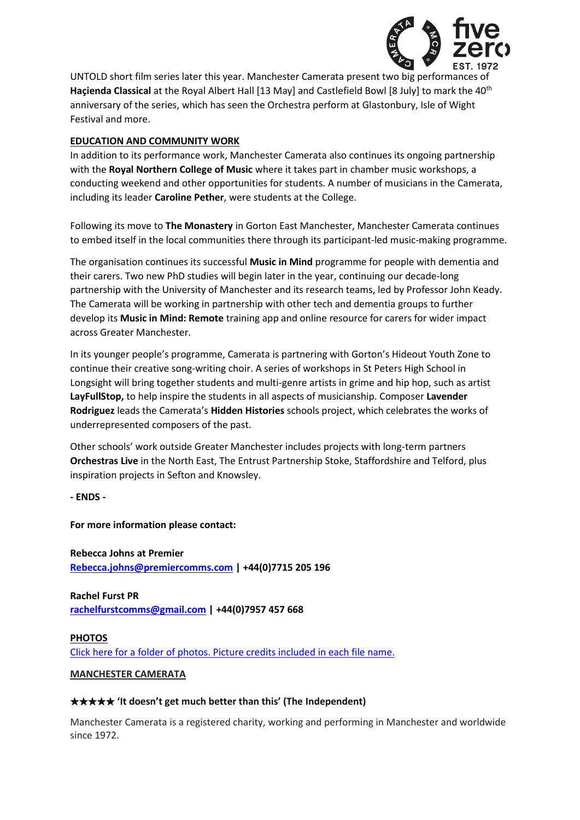

UNTOLD short film series later this year. Manchester Camerata present two big performances of Hacienda Classical at the Royal Albert Hall [13 May] and Castlefield Bowl [8 July] to mark the 40<sup>th</sup> anniversary of the series, which has seen the Orchestra perform at Glastonbury, Isle of Wight Festival and more.

### **EDUCATION AND COMMUNITY WORK**

In addition to its performance work, Manchester Camerata also continues its ongoing partnership with the **Royal Northern College of Music** where it takes part in chamber music workshops, a conducting weekend and other opportunities for students. A number of musicians in the Camerata, including its leader **Caroline Pether**, were students at the College.

Following its move to **The Monastery** in Gorton East Manchester, Manchester Camerata continues to embed itself in the local communities there through its participant-led music-making programme.

The organisation continues its successful **Music in Mind** programme for people with dementia and their carers. Two new PhD studies will begin later in the year, continuing our decade-long partnership with the University of Manchester and its research teams, led by Professor John Keady. The Camerata will be working in partnership with other tech and dementia groups to further develop its **Music in Mind: Remote** training app and online resource for carers for wider impact across Greater Manchester.

In its younger people's programme, Camerata is partnering with Gorton's Hideout Youth Zone to continue their creative song-writing choir. A series of workshops in St Peters High School in Longsight will bring together students and multi-genre artists in grime and hip hop, such as artist **LayFullStop,** to help inspire the students in all aspects of musicianship. Composer **Lavender Rodriguez** leads the Camerata's **Hidden Histories** schools project, which celebrates the works of underrepresented composers of the past.

Other schools' work outside Greater Manchester includes projects with long-term partners **Orchestras Live** in the North East, The Entrust Partnership Stoke, Staffordshire and Telford, plus inspiration projects in Sefton and Knowsley.

**- ENDS -**

**For more information please contact:**

**Rebecca Johns at Premier [Rebecca.johns@premiercomms.com](mailto:Rebecca.johns@premiercomms.com) | +44(0)7715 205 196**

**Rachel Furst PR [rachelfurstcomms@gmail.com](mailto:rachelfurstcomms@gmail.com) | +44(0)7957 457 668**

**PHOTOS** [Click here for a folder of photos. Picture credits included in each file name.](https://www.dropbox.com/sh/gu0zojp2uq1ighk/AAB49vSUDqhk9yYBI0oOb90Xa?dl=0)

**MANCHESTER CAMERATA**

#### ★★★★★ **'It doesn't get much better than this' (The Independent)**

Manchester Camerata is a registered charity, working and performing in Manchester and worldwide since 1972.